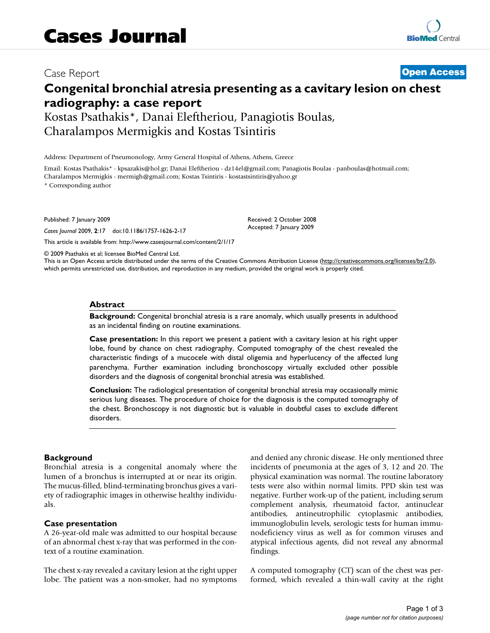Case Report **[Open Access](http://www.biomedcentral.com/info/about/charter/)**

# **Congenital bronchial atresia presenting as a cavitary lesion on chest radiography: a case report**

Kostas Psathakis\*, Danai Eleftheriou, Panagiotis Boulas, Charalampos Mermigkis and Kostas Tsintiris

Address: Department of Pneumonology, Army General Hospital of Athens, Athens, Greece

Email: Kostas Psathakis\* - kpsazakis@hol.gr; Danai Eleftheriou - dz14el@gmail.com; Panagiotis Boulas - panboulas@hotmail.com; Charalampos Mermigkis - mermigh@gmail.com; Kostas Tsintiris - kostastsintiris@yahoo.gr

\* Corresponding author

Published: 7 January 2009

*Cases Journal* 2009, **2**:17 doi:10.1186/1757-1626-2-17

[This article is available from: http://www.casesjournal.com/content/2/1/17](http://www.casesjournal.com/content/2/1/17)

© 2009 Psathakis et al; licensee BioMed Central Ltd.

This is an Open Access article distributed under the terms of the Creative Commons Attribution License [\(http://creativecommons.org/licenses/by/2.0\)](http://creativecommons.org/licenses/by/2.0), which permits unrestricted use, distribution, and reproduction in any medium, provided the original work is properly cited.

Received: 2 October 2008 Accepted: 7 January 2009

#### **Abstract**

**Background:** Congenital bronchial atresia is a rare anomaly, which usually presents in adulthood as an incidental finding on routine examinations.

**Case presentation:** In this report we present a patient with a cavitary lesion at his right upper lobe, found by chance on chest radiography. Computed tomography of the chest revealed the characteristic findings of a mucocele with distal oligemia and hyperlucency of the affected lung parenchyma. Further examination including bronchoscopy virtually excluded other possible disorders and the diagnosis of congenital bronchial atresia was established.

**Conclusion:** The radiological presentation of congenital bronchial atresia may occasionally mimic serious lung diseases. The procedure of choice for the diagnosis is the computed tomography of the chest. Bronchoscopy is not diagnostic but is valuable in doubtful cases to exclude different disorders.

#### **Background**

Bronchial atresia is a congenital anomaly where the lumen of a bronchus is interrupted at or near its origin. The mucus-filled, blind-terminating bronchus gives a variety of radiographic images in otherwise healthy individuals.

#### **Case presentation**

A 26-year-old male was admitted to our hospital because of an abnormal chest x-ray that was performed in the context of a routine examination.

The chest x-ray revealed a cavitary lesion at the right upper lobe. The patient was a non-smoker, had no symptoms and denied any chronic disease. He only mentioned three incidents of pneumonia at the ages of 3, 12 and 20. The physical examination was normal. The routine laboratory tests were also within normal limits. PPD skin test was negative. Further work-up of the patient, including serum complement analysis, rheumatoid factor, antinuclear antibodies, antineutrophilic cytoplasmic antibodies, immunoglobulin levels, serologic tests for human immunodeficiency virus as well as for common viruses and atypical infectious agents, did not reveal any abnormal findings.

A computed tomography (CT) scan of the chest was performed, which revealed a thin-wall cavity at the right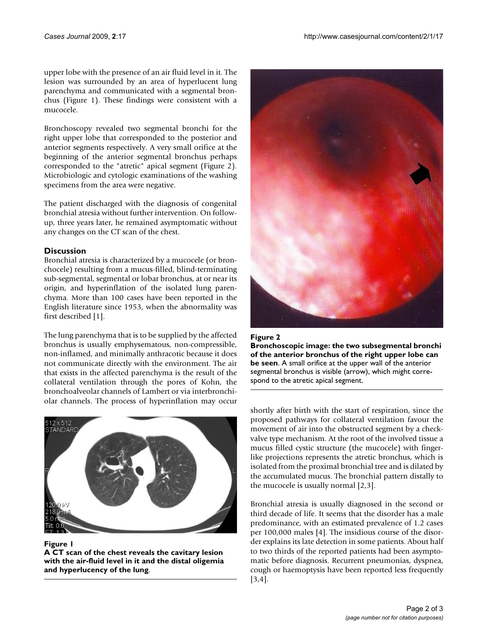upper lobe with the presence of an air fluid level in it. The lesion was surrounded by an area of hyperlucent lung parenchyma and communicated with a segmental bronchus (Figure 1). These findings were consistent with a mucocele.

Bronchoscopy revealed two segmental bronchi for the right upper lobe that corresponded to the posterior and anterior segments respectively. A very small orifice at the beginning of the anterior segmental bronchus perhaps corresponded to the "atretic" apical segment (Figure 2). Microbiologic and cytologic examinations of the washing specimens from the area were negative.

The patient discharged with the diagnosis of congenital bronchial atresia without further intervention. On followup, three years later, he remained asymptomatic without any changes on the CT scan of the chest.

# **Discussion**

Bronchial atresia is characterized by a mucocele (or bronchocele) resulting from a mucus-filled, blind-terminating sub-segmental, segmental or lobar bronchus, at or near its origin, and hyperinflation of the isolated lung parenchyma. More than 100 cases have been reported in the English literature since 1953, when the abnormality was first described [1].

The lung parenchyma that is to be supplied by the affected bronchus is usually emphysematous, non-compressible, non-inflamed, and minimally anthracotic because it does not communicate directly with the environment. The air that exists in the affected parenchyma is the result of the collateral ventilation through the pores of Kohn, the bronchoalveolar channels of Lambert or via interbronchiolar channels. The process of hyperinflation may occur





**A CT scan of the chest reveals the cavitary lesion with the air-fluid level in it and the distal oligemia and hyperlucency of the lung**.





shortly after birth with the start of respiration, since the proposed pathways for collateral ventilation favour the movement of air into the obstructed segment by a checkvalve type mechanism. At the root of the involved tissue a mucus filled cystic structure (the mucocele) with fingerlike projections represents the atretic bronchus, which is isolated from the proximal bronchial tree and is dilated by the accumulated mucus. The bronchial pattern distally to the mucocele is usually normal [2,3].

Bronchial atresia is usually diagnosed in the second or third decade of life. It seems that the disorder has a male predominance, with an estimated prevalence of 1.2 cases per 100,000 males [4]. The insidious course of the disorder explains its late detection in some patients. About half to two thirds of the reported patients had been asymptomatic before diagnosis. Recurrent pneumonias, dyspnea, cough or haemoptysis have been reported less frequently [3,4].